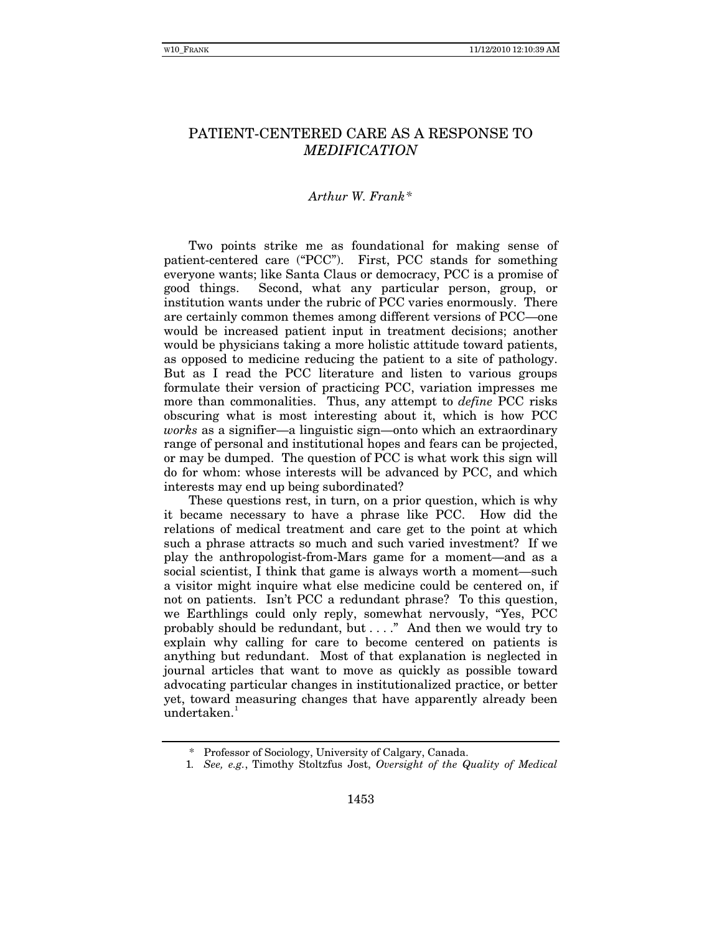# PATIENT-CENTERED CARE AS A RESPONSE TO *MEDIFICATION*

### *Arthur W. Frank[\\*](#page-0-0)*

Two points strike me as foundational for making sense of patient-centered care ("PCC"). First, PCC stands for something everyone wants; like Santa Claus or democracy, PCC is a promise of good things. Second, what any particular person, group, or institution wants under the rubric of PCC varies enormously. There are certainly common themes among different versions of PCC—one would be increased patient input in treatment decisions; another would be physicians taking a more holistic attitude toward patients, as opposed to medicine reducing the patient to a site of pathology. But as I read the PCC literature and listen to various groups formulate their version of practicing PCC, variation impresses me more than commonalities. Thus, any attempt to *define* PCC risks obscuring what is most interesting about it, which is how PCC *works* as a signifier—a linguistic sign—onto which an extraordinary range of personal and institutional hopes and fears can be projected, or may be dumped. The question of PCC is what work this sign will do for whom: whose interests will be advanced by PCC, and which interests may end up being subordinated?

These questions rest, in turn, on a prior question, which is why it became necessary to have a phrase like PCC. How did the relations of medical treatment and care get to the point at which such a phrase attracts so much and such varied investment? If we play the anthropologist-from-Mars game for a moment—and as a social scientist, I think that game is always worth a moment—such a visitor might inquire what else medicine could be centered on, if not on patients. Isn't PCC a redundant phrase? To this question, we Earthlings could only reply, somewhat nervously, "Yes, PCC probably should be redundant, but . . . ." And then we would try to explain why calling for care to become centered on patients is anything but redundant. Most of that explanation is neglected in journal articles that want to move as quickly as possible toward advocating particular changes in institutionalized practice, or better yet, toward measuring changes that have apparently already been  $undertaken.<sup>1</sup>$  $undertaken.<sup>1</sup>$  $undertaken.<sup>1</sup>$ 

 <sup>\*</sup> Professor of Sociology, University of Calgary, Canada.

<span id="page-0-1"></span><span id="page-0-0"></span> <sup>1</sup>*. See, e.g.*, Timothy Stoltzfus Jost, *Oversight of the Quality of Medical*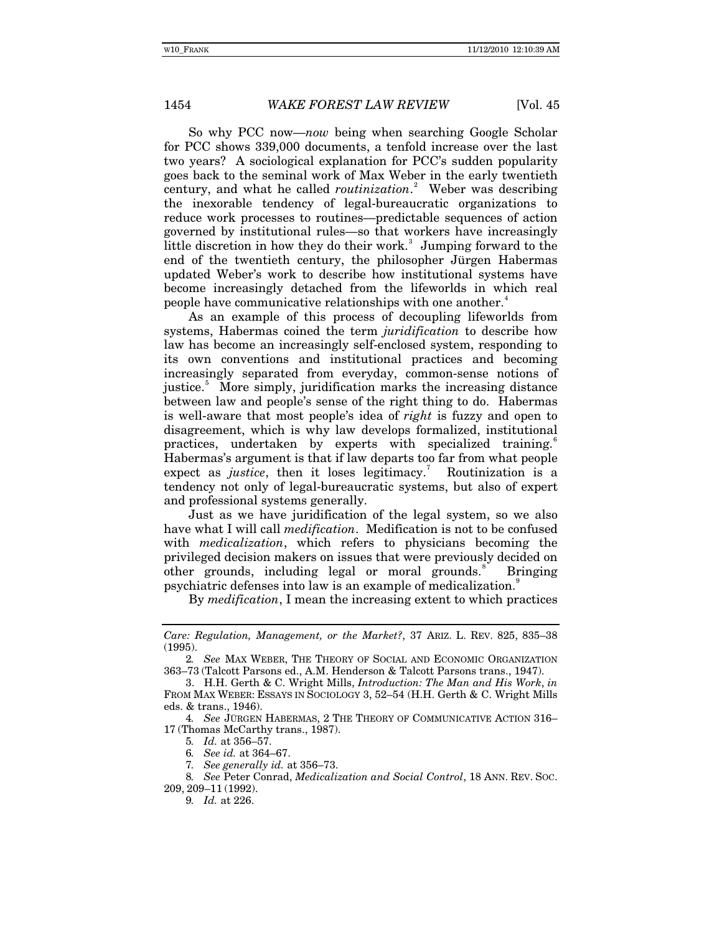# 1454 *WAKE FOREST LAW REVIEW* [Vol. 45]

So why PCC now—*now* being when searching Google Scholar for PCC shows 339,000 documents, a tenfold increase over the last two years? A sociological explanation for PCC's sudden popularity goes back to the seminal work of Max Weber in the early twentieth century, and what he called *routinization*. [2](#page-1-0) Weber was describing the inexorable tendency of legal-bureaucratic organizations to reduce work processes to routines—predictable sequences of action governed by institutional rules—so that workers have increasingly little discretion in how they do their work.<sup>[3](#page-1-1)</sup> Jumping forward to the end of the twentieth century, the philosopher Jürgen Habermas updated Weber's work to describe how institutional systems have become increasingly detached from the lifeworlds in which real people have communicative relationships with one another.<sup>[4](#page-1-2)</sup>

As an example of this process of decoupling lifeworlds from systems, Habermas coined the term *juridification* to describe how law has become an increasingly self-enclosed system, responding to its own conventions and institutional practices and becoming increasingly separated from everyday, common-sense notions of justice.<sup>[5](#page-1-3)</sup> More simply, juridification marks the increasing distance between law and people's sense of the right thing to do. Habermas is well-aware that most people's idea of *right* is fuzzy and open to disagreement, which is why law develops formalized, institutional practices, undertaken by experts with specialized training.<sup>[6](#page-1-4)</sup> Habermas's argument is that if law departs too far from what people expect as *justice*, then it loses legitimacy.<sup>[7](#page-1-5)</sup> Routinization is a tendency not only of legal-bureaucratic systems, but also of expert and professional systems generally.

Just as we have juridification of the legal system, so we also have what I will call *medification*. Medification is not to be confused with *medicalization*, which refers to physicians becoming the privileged decision makers on issues that were previously decided on other grounds, including legal or moral grounds. Bringing psychiatric defenses into law is an example of medicalization.[9](#page-1-7)

By *medification*, I mean the increasing extent to which practices

<span id="page-1-3"></span><span id="page-1-2"></span>4*. See* JÜRGEN HABERMAS, 2 THE THEORY OF COMMUNICATIVE ACTION 316– 17 (Thomas McCarthy trans., 1987).

5*. Id.* at 356–57.

6*. See id.* at 364–67.

*Care: Regulation, Management, or the Market?*, 37 ARIZ. L. REV. 825, 835–38 (1995).

<span id="page-1-0"></span><sup>2</sup>*. See* MAX WEBER, THE THEORY OF SOCIAL AND ECONOMIC ORGANIZATION 363–73 (Talcott Parsons ed., A.M. Henderson & Talcott Parsons trans., 1947).

<span id="page-1-1"></span> <sup>3.</sup> H.H. Gerth & C. Wright Mills, *Introduction: The Man and His Work*, *in* FROM MAX WEBER: ESSAYS IN SOCIOLOGY 3, 52–54 (H.H. Gerth & C. Wright Mills eds. & trans., 1946).

<sup>7</sup>*. See generally id.* at 356–73.

<span id="page-1-7"></span><span id="page-1-6"></span><span id="page-1-5"></span><span id="page-1-4"></span><sup>8</sup>*. See* Peter Conrad, *Medicalization and Social Control*, 18 ANN. REV. SOC. 209, 209–11 (1992).

<sup>9</sup>*. Id.* at 226.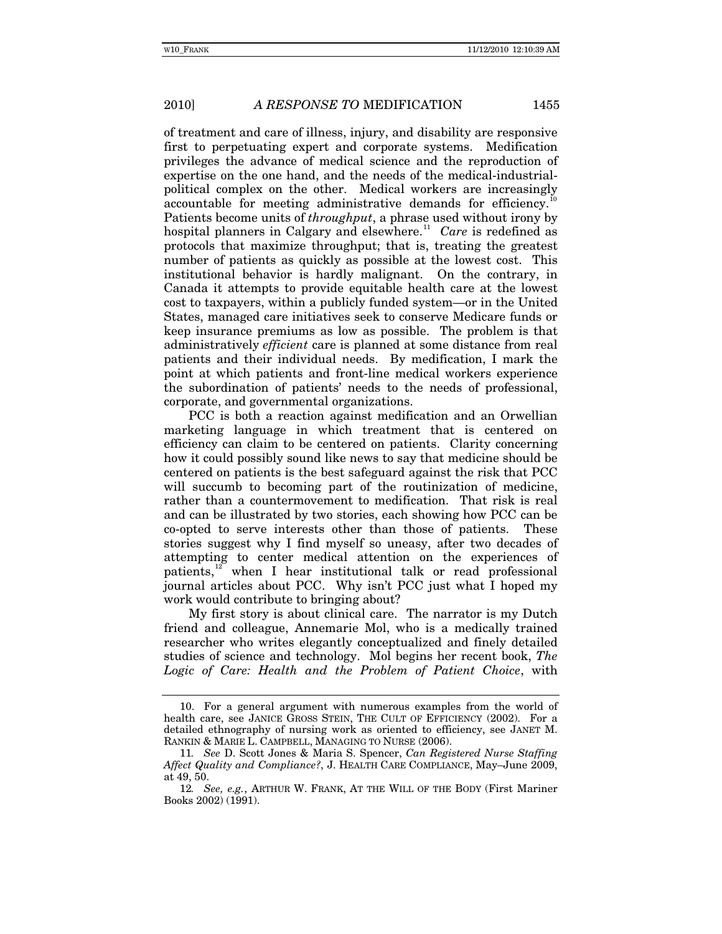# 2010] *A RESPONSE TO* MEDIFICATION 1455

of treatment and care of illness, injury, and disability are responsive first to perpetuating expert and corporate systems. Medification privileges the advance of medical science and the reproduction of expertise on the one hand, and the needs of the medical-industrialpolitical complex on the other. Medical workers are increasingly accountable for meeting administrative demands for efficiency.<sup>1</sup> Patients become units of *throughput*, a phrase used without irony by hospital planners in Calgary and elsewhere.<sup>[11](#page-2-1)</sup> Care is redefined as protocols that maximize throughput; that is, treating the greatest number of patients as quickly as possible at the lowest cost. This institutional behavior is hardly malignant. On the contrary, in Canada it attempts to provide equitable health care at the lowest cost to taxpayers, within a publicly funded system—or in the United States, managed care initiatives seek to conserve Medicare funds or keep insurance premiums as low as possible. The problem is that administratively *efficient* care is planned at some distance from real patients and their individual needs. By medification, I mark the point at which patients and front-line medical workers experience the subordination of patients' needs to the needs of professional, corporate, and governmental organizations.

PCC is both a reaction against medification and an Orwellian marketing language in which treatment that is centered on efficiency can claim to be centered on patients. Clarity concerning how it could possibly sound like news to say that medicine should be centered on patients is the best safeguard against the risk that PCC will succumb to becoming part of the routinization of medicine, rather than a countermovement to medification. That risk is real and can be illustrated by two stories, each showing how PCC can be co-opted to serve interests other than those of patients. These stories suggest why I find myself so uneasy, after two decades of attempting to center medical attention on the experiences of patients,<sup>[12](#page-2-2)</sup> when I hear institutional talk or read professional journal articles about PCC. Why isn't PCC just what I hoped my work would contribute to bringing about?

My first story is about clinical care. The narrator is my Dutch friend and colleague, Annemarie Mol, who is a medically trained researcher who writes elegantly conceptualized and finely detailed studies of science and technology. Mol begins her recent book, *The Logic of Care: Health and the Problem of Patient Choice*, with

<span id="page-2-0"></span> <sup>10.</sup> For a general argument with numerous examples from the world of health care, see JANICE GROSS STEIN, THE CULT OF EFFICIENCY (2002). For a detailed ethnography of nursing work as oriented to efficiency, see JANET M. RANKIN & MARIE L. CAMPBELL, MANAGING TO NURSE (2006).

<span id="page-2-1"></span><sup>11</sup>*. See* D. Scott Jones & Maria S. Spencer, *Can Registered Nurse Staffing Affect Quality and Compliance?*, J. HEALTH CARE COMPLIANCE, May–June 2009, at 49, 50.

<span id="page-2-2"></span><sup>12</sup>*. See, e.g.*, ARTHUR W. FRANK, AT THE WILL OF THE BODY (First Mariner Books 2002) (1991).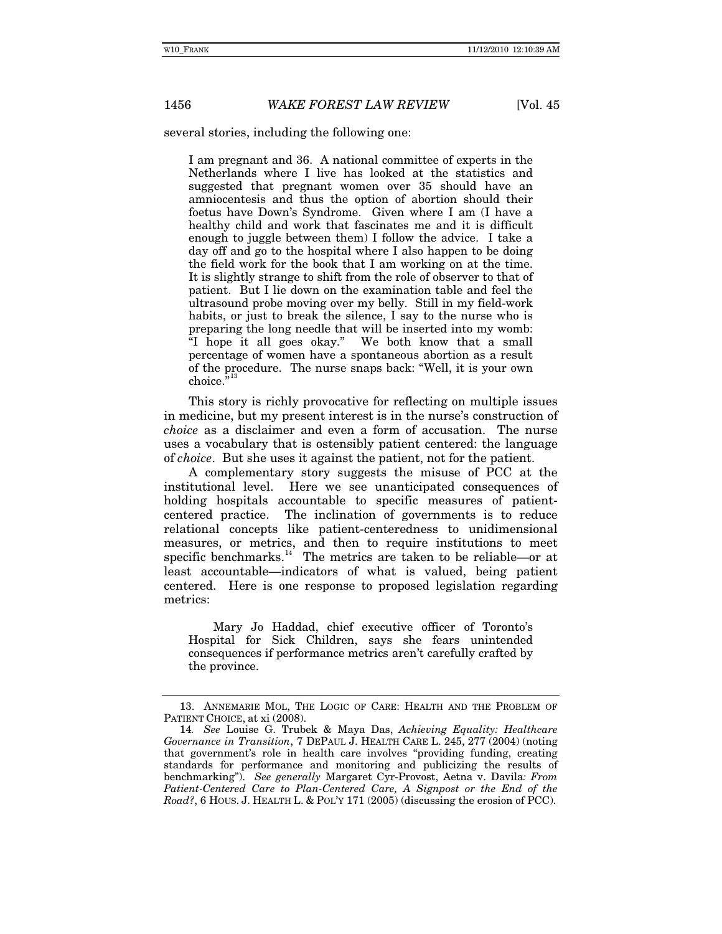### 1456 *WAKE FOREST LAW REVIEW* [Vol. 45]

several stories, including the following one:

I am pregnant and 36. A national committee of experts in the Netherlands where I live has looked at the statistics and suggested that pregnant women over 35 should have an amniocentesis and thus the option of abortion should their foetus have Down's Syndrome. Given where I am (I have a healthy child and work that fascinates me and it is difficult enough to juggle between them) I follow the advice. I take a day off and go to the hospital where I also happen to be doing the field work for the book that I am working on at the time. It is slightly strange to shift from the role of observer to that of patient. But I lie down on the examination table and feel the ultrasound probe moving over my belly. Still in my field-work habits, or just to break the silence, I say to the nurse who is preparing the long needle that will be inserted into my womb: "I hope it all goes okay." We both know that a small percentage of women have a spontaneous abortion as a result of the procedure. The nurse snaps back: "Well, it is your own choice.<sup>5[13](#page-3-0)</sup>

This story is richly provocative for reflecting on multiple issues in medicine, but my present interest is in the nurse's construction of *choice* as a disclaimer and even a form of accusation. The nurse uses a vocabulary that is ostensibly patient centered: the language of *choice*. But she uses it against the patient, not for the patient.

A complementary story suggests the misuse of PCC at the institutional level. Here we see unanticipated consequences of holding hospitals accountable to specific measures of patientcentered practice. The inclination of governments is to reduce relational concepts like patient-centeredness to unidimensional measures, or metrics, and then to require institutions to meet specific benchmarks.<sup>[14](#page-3-1)</sup> The metrics are taken to be reliable—or at least accountable—indicators of what is valued, being patient centered. Here is one response to proposed legislation regarding metrics:

Mary Jo Haddad, chief executive officer of Toronto's Hospital for Sick Children, says she fears unintended consequences if performance metrics aren't carefully crafted by the province.

<span id="page-3-0"></span> <sup>13.</sup> ANNEMARIE MOL, THE LOGIC OF CARE: HEALTH AND THE PROBLEM OF PATIENT CHOICE, at xi (2008).

<span id="page-3-1"></span><sup>14</sup>*. See* Louise G. Trubek & Maya Das, *Achieving Equality: Healthcare Governance in Transition*, 7 DEPAUL J. HEALTH CARE L. 245, 277 (2004) (noting that government's role in health care involves "providing funding, creating standards for performance and monitoring and publicizing the results of benchmarking"). *See generally* Margaret Cyr-Provost, Aetna v. Davila*: From*  Patient-Centered Care to Plan-Centered Care, A Signpost or the End of the *Road?*, 6 HOUS. J. HEALTH L. & POL'Y 171 (2005) (discussing the erosion of PCC).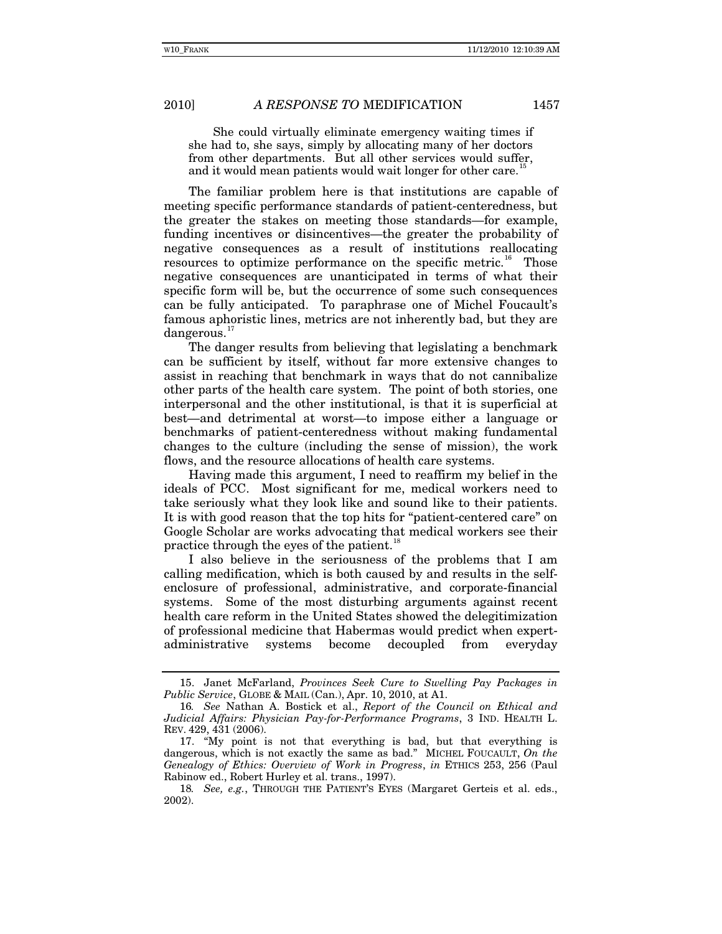### 2010] *A RESPONSE TO* MEDIFICATION 1457

She could virtually eliminate emergency waiting times if she had to, she says, simply by allocating many of her doctors from other departments. But all other services would suffer, and it would mean patients would wait longer for other care.<sup>1</sup>

The familiar problem here is that institutions are capable of meeting specific performance standards of patient-centeredness, but the greater the stakes on meeting those standards—for example, funding incentives or disincentives—the greater the probability of negative consequences as a result of institutions reallocating resources to optimize performance on the specific metric.<sup>[16](#page-4-1)</sup> Those negative consequences are unanticipated in terms of what their specific form will be, but the occurrence of some such consequences can be fully anticipated. To paraphrase one of Michel Foucault's famous aphoristic lines, metrics are not inherently bad, but they are dangerous.<sup>[17](#page-4-2)</sup>

The danger results from believing that legislating a benchmark can be sufficient by itself, without far more extensive changes to assist in reaching that benchmark in ways that do not cannibalize other parts of the health care system. The point of both stories, one interpersonal and the other institutional, is that it is superficial at best—and detrimental at worst—to impose either a language or benchmarks of patient-centeredness without making fundamental changes to the culture (including the sense of mission), the work flows, and the resource allocations of health care systems.

Having made this argument, I need to reaffirm my belief in the ideals of PCC. Most significant for me, medical workers need to take seriously what they look like and sound like to their patients. It is with good reason that the top hits for "patient-centered care" on Google Scholar are works advocating that medical workers see their practice through the eyes of the patient.<sup>[18](#page-4-3)</sup>

I also believe in the seriousness of the problems that I am calling medification, which is both caused by and results in the selfenclosure of professional, administrative, and corporate-financial systems. Some of the most disturbing arguments against recent health care reform in the United States showed the delegitimization of professional medicine that Habermas would predict when expertadministrative systems become decoupled from everyday

<span id="page-4-0"></span> <sup>15.</sup> Janet McFarland, *Provinces Seek Cure to Swelling Pay Packages in Public Service*, GLOBE & MAIL (Can.), Apr. 10, 2010, at A1.

<span id="page-4-1"></span><sup>16</sup>*. See* Nathan A. Bostick et al., *Report of the Council on Ethical and Judicial Affairs: Physician Pay-for-Performance Programs*, 3 IND. HEALTH L. REV. 429, 431 (2006).

<span id="page-4-2"></span> <sup>17. &</sup>quot;My point is not that everything is bad, but that everything is dangerous, which is not exactly the same as bad." MICHEL FOUCAULT, *On the Genealogy of Ethics: Overview of Work in Progress*, *in* ETHICS 253, 256 (Paul Rabinow ed., Robert Hurley et al. trans., 1997).

<span id="page-4-3"></span><sup>18</sup>*. See, e.g.*, THROUGH THE PATIENT'S EYES (Margaret Gerteis et al. eds., 2002).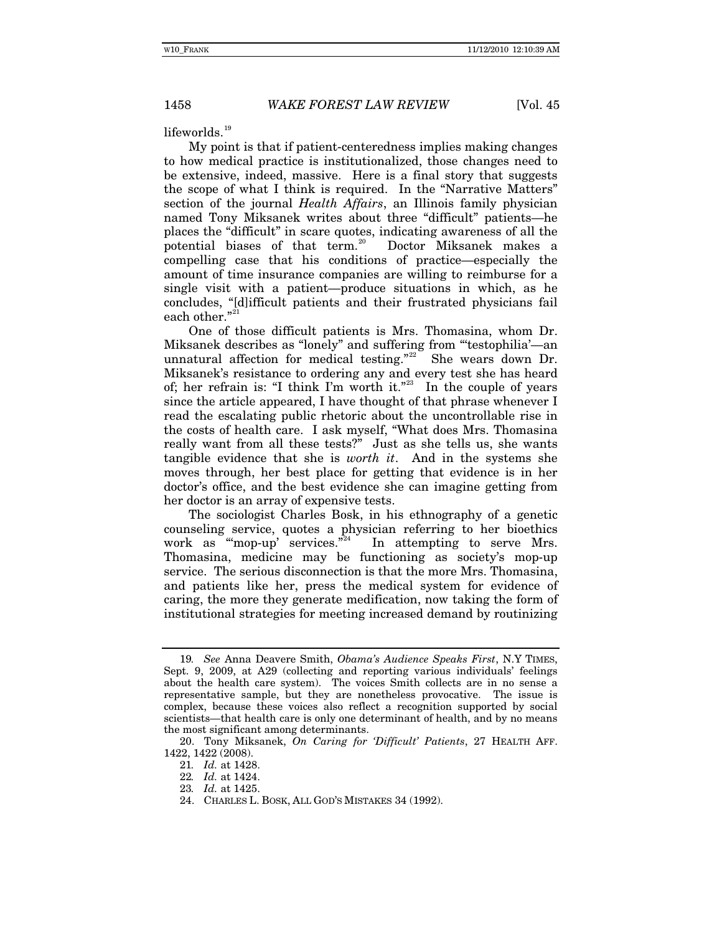### 1458 *WAKE FOREST LAW REVIEW* [Vol. 45]

 $lifeworlds.<sup>19</sup>$  $lifeworlds.<sup>19</sup>$  $lifeworlds.<sup>19</sup>$ 

My point is that if patient-centeredness implies making changes to how medical practice is institutionalized, those changes need to be extensive, indeed, massive. Here is a final story that suggests the scope of what I think is required. In the "Narrative Matters" section of the journal *Health Affairs*, an Illinois family physician named Tony Miksanek writes about three "difficult" patients—he places the "difficult" in scare quotes, indicating awareness of all the potential biases of that term.<sup>[20](#page-5-1)</sup> Doctor Miksanek makes a compelling case that his conditions of practice—especially the amount of time insurance companies are willing to reimburse for a single visit with a patient—produce situations in which, as he concludes, "[d]ifficult patients and their frustrated physicians fail each other."<sup>[21](#page-5-2)</sup>

One of those difficult patients is Mrs. Thomasina, whom Dr. Miksanek describes as "lonely" and suffering from "'testophilia'—an unnatural affection for medical testing."<sup>[22](#page-5-3)</sup> She wears down Dr. Miksanek's resistance to ordering any and every test she has heard of; her refrain is: "I think I'm worth it."<sup>[23](#page-5-4)</sup> In the couple of years since the article appeared, I have thought of that phrase whenever I read the escalating public rhetoric about the uncontrollable rise in the costs of health care. I ask myself, "What does Mrs. Thomasina really want from all these tests?" Just as she tells us, she wants tangible evidence that she is *worth it*. And in the systems she moves through, her best place for getting that evidence is in her doctor's office, and the best evidence she can imagine getting from her doctor is an array of expensive tests.

The sociologist Charles Bosk, in his ethnography of a genetic counseling service, quotes a physician referring to her bioethics work as "mop-up' services." In attempting to serve Mrs. Thomasina, medicine may be functioning as society's mop-up service. The serious disconnection is that the more Mrs. Thomasina, and patients like her, press the medical system for evidence of caring, the more they generate medification, now taking the form of institutional strategies for meeting increased demand by routinizing

<span id="page-5-0"></span><sup>19</sup>*. See* Anna Deavere Smith, *Obama's Audience Speaks First*, N.Y TIMES, Sept. 9, 2009, at A29 (collecting and reporting various individuals' feelings about the health care system). The voices Smith collects are in no sense a representative sample, but they are nonetheless provocative. The issue is complex, because these voices also reflect a recognition supported by social scientists—that health care is only one determinant of health, and by no means the most significant among determinants.

<span id="page-5-5"></span><span id="page-5-4"></span><span id="page-5-3"></span><span id="page-5-2"></span><span id="page-5-1"></span> <sup>20.</sup> Tony Miksanek, *On Caring for 'Difficult' Patients*, 27 HEALTH AFF. 1422, 1422 (2008).

<sup>21</sup>*. Id.* at 1428.

<sup>22</sup>*. Id.* at 1424.

<sup>23</sup>*. Id.* at 1425.

 <sup>24.</sup> CHARLES L. BOSK, ALL GOD'S MISTAKES 34 (1992).